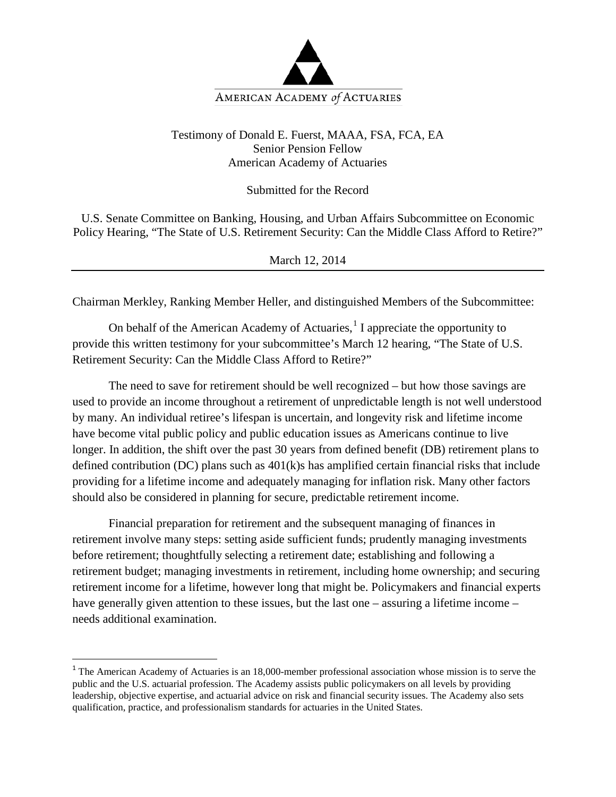

## Testimony of Donald E. Fuerst, MAAA, FSA, FCA, EA Senior Pension Fellow American Academy of Actuaries

Submitted for the Record

U.S. Senate Committee on Banking, Housing, and Urban Affairs Subcommittee on Economic Policy Hearing, "The State of U.S. Retirement Security: Can the Middle Class Afford to Retire?"

March 12, 2014

Chairman Merkley, Ranking Member Heller, and distinguished Members of the Subcommittee:

On behalf of the American Academy of Actuaries, $\frac{1}{1}$  $\frac{1}{1}$  $\frac{1}{1}$  I appreciate the opportunity to provide this written testimony for your subcommittee's March 12 hearing, "The State of U.S. Retirement Security: Can the Middle Class Afford to Retire?"

The need to save for retirement should be well recognized – but how those savings are used to provide an income throughout a retirement of unpredictable length is not well understood by many. An individual retiree's lifespan is uncertain, and longevity risk and lifetime income have become vital public policy and public education issues as Americans continue to live longer. In addition, the shift over the past 30 years from defined benefit (DB) retirement plans to defined contribution (DC) plans such as 401(k)s has amplified certain financial risks that include providing for a lifetime income and adequately managing for inflation risk. Many other factors should also be considered in planning for secure, predictable retirement income.

Financial preparation for retirement and the subsequent managing of finances in retirement involve many steps: setting aside sufficient funds; prudently managing investments before retirement; thoughtfully selecting a retirement date; establishing and following a retirement budget; managing investments in retirement, including home ownership; and securing retirement income for a lifetime, however long that might be. Policymakers and financial experts have generally given attention to these issues, but the last one – assuring a lifetime income – needs additional examination.

<span id="page-0-0"></span><sup>&</sup>lt;sup>1</sup> The American Academy of Actuaries is an 18,000-member professional association whose mission is to serve the public and the U.S. actuarial profession. The Academy assists public policymakers on all levels by providing leadership, objective expertise, and actuarial advice on risk and financial security issues. The Academy also sets qualification, practice, and professionalism standards for actuaries in the United States.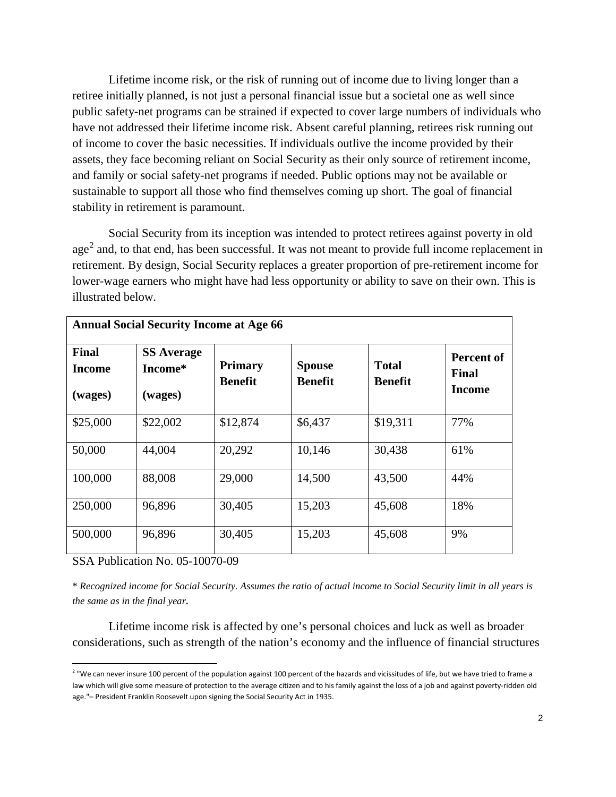Lifetime income risk, or the risk of running out of income due to living longer than a retiree initially planned, is not just a personal financial issue but a societal one as well since public safety-net programs can be strained if expected to cover large numbers of individuals who have not addressed their lifetime income risk. Absent careful planning, retirees risk running out of income to cover the basic necessities. If individuals outlive the income provided by their assets, they face becoming reliant on Social Security as their only source of retirement income, and family or social safety-net programs if needed. Public options may not be available or sustainable to support all those who find themselves coming up short. The goal of financial stability in retirement is paramount.

Social Security from its inception was intended to protect retirees against poverty in old age<sup>[2](#page-1-0)</sup> and, to that end, has been successful. It was not meant to provide full income replacement in retirement. By design, Social Security replaces a greater proportion of pre-retirement income for lower-wage earners who might have had less opportunity or ability to save on their own. This is illustrated below.

| <b>Annual Social Security Income at Age 66</b> |                                         |                                  |                                 |                                |                                      |  |  |  |  |
|------------------------------------------------|-----------------------------------------|----------------------------------|---------------------------------|--------------------------------|--------------------------------------|--|--|--|--|
| <b>Final</b><br><b>Income</b><br>(wages)       | <b>SS Average</b><br>Income*<br>(wages) | <b>Primary</b><br><b>Benefit</b> | <b>Spouse</b><br><b>Benefit</b> | <b>Total</b><br><b>Benefit</b> | Percent of<br>Final<br><b>Income</b> |  |  |  |  |
| \$25,000                                       | \$22,002                                | \$12,874                         | \$6,437                         | \$19,311                       | 77%                                  |  |  |  |  |
| 50,000                                         | 44,004                                  | 20,292                           | 10,146                          | 30,438                         | 61%                                  |  |  |  |  |
| 100,000                                        | 88,008                                  | 29,000                           | 14,500                          | 43,500                         | 44%                                  |  |  |  |  |
| 250,000                                        | 96,896                                  | 30,405                           | 15,203                          | 45,608                         | 18%                                  |  |  |  |  |
| 500,000                                        | 96,896                                  | 30,405                           | 15,203                          | 45,608                         | 9%                                   |  |  |  |  |

SSA Publication No. 05-10070-09

\* *Recognized income for Social Security. Assumes the ratio of actual income to Social Security limit in all years is the same as in the final year.*

Lifetime income risk is affected by one's personal choices and luck as well as broader considerations, such as strength of the nation's economy and the influence of financial structures

<span id="page-1-0"></span> $2$  "We can never insure 100 percent of the population against 100 percent of the hazards and vicissitudes of life, but we have tried to frame a law which will give some measure of protection to the average citizen and to his family against the loss of a job and against poverty-ridden old age."– President Franklin Roosevelt upon signing the Social Security Act in 1935.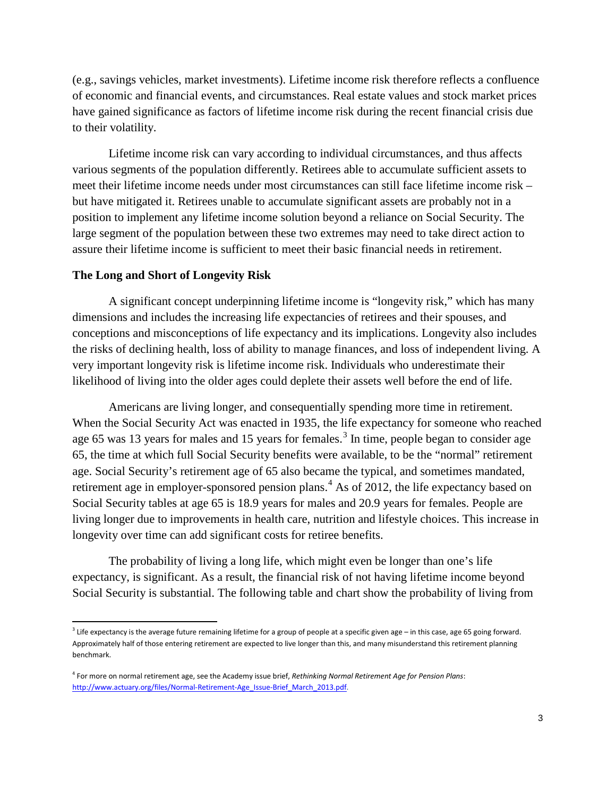(e.g., savings vehicles, market investments). Lifetime income risk therefore reflects a confluence of economic and financial events, and circumstances. Real estate values and stock market prices have gained significance as factors of lifetime income risk during the recent financial crisis due to their volatility.

Lifetime income risk can vary according to individual circumstances, and thus affects various segments of the population differently. Retirees able to accumulate sufficient assets to meet their lifetime income needs under most circumstances can still face lifetime income risk – but have mitigated it. Retirees unable to accumulate significant assets are probably not in a position to implement any lifetime income solution beyond a reliance on Social Security. The large segment of the population between these two extremes may need to take direct action to assure their lifetime income is sufficient to meet their basic financial needs in retirement.

#### **The Long and Short of Longevity Risk**

A significant concept underpinning lifetime income is "longevity risk," which has many dimensions and includes the increasing life expectancies of retirees and their spouses, and conceptions and misconceptions of life expectancy and its implications. Longevity also includes the risks of declining health, loss of ability to manage finances, and loss of independent living. A very important longevity risk is lifetime income risk. Individuals who underestimate their likelihood of living into the older ages could deplete their assets well before the end of life.

Americans are living longer, and consequentially spending more time in retirement. When the Social Security Act was enacted in 1935, the life expectancy for someone who reached age 65 was 1[3](#page-2-0) years for males and 15 years for females.<sup>3</sup> In time, people began to consider age 65, the time at which full Social Security benefits were available, to be the "normal" retirement age. Social Security's retirement age of 65 also became the typical, and sometimes mandated, retirement age in employer-sponsored pension plans.<sup>[4](#page-2-1)</sup> As of 2012, the life expectancy based on Social Security tables at age 65 is 18.9 years for males and 20.9 years for females. People are living longer due to improvements in health care, nutrition and lifestyle choices. This increase in longevity over time can add significant costs for retiree benefits.

The probability of living a long life, which might even be longer than one's life expectancy, is significant. As a result, the financial risk of not having lifetime income beyond Social Security is substantial. The following table and chart show the probability of living from

<span id="page-2-0"></span> $3$  Life expectancy is the average future remaining lifetime for a group of people at a specific given age – in this case, age 65 going forward. Approximately half of those entering retirement are expected to live longer than this, and many misunderstand this retirement planning benchmark.

<span id="page-2-1"></span><sup>4</sup> For more on normal retirement age, see the Academy issue brief, *Rethinking Normal Retirement Age for Pension Plans*: [http://www.actuary.org/files/Normal-Retirement-Age\\_Issue-Brief\\_March\\_2013.pdf.](http://www.actuary.org/files/Normal-Retirement-Age_Issue-Brief_March_2013.pdf)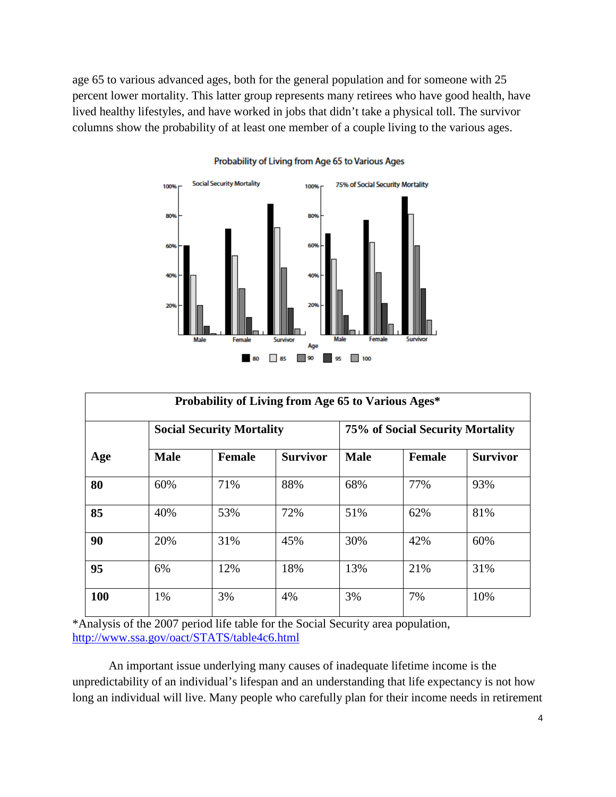age 65 to various advanced ages, both for the general population and for someone with 25 percent lower mortality. This latter group represents many retirees who have good health, have lived healthy lifestyles, and have worked in jobs that didn't take a physical toll. The survivor columns show the probability of at least one member of a couple living to the various ages.



#### Probability of Living from Age 65 to Various Ages

| Probability of Living from Age 65 to Various Ages* |             |                                  |                 |             |                                  |                 |  |  |  |
|----------------------------------------------------|-------------|----------------------------------|-----------------|-------------|----------------------------------|-----------------|--|--|--|
| Age                                                |             | <b>Social Security Mortality</b> |                 |             | 75% of Social Security Mortality |                 |  |  |  |
|                                                    | <b>Male</b> | <b>Female</b>                    | <b>Survivor</b> | <b>Male</b> | <b>Female</b>                    | <b>Survivor</b> |  |  |  |
| 80                                                 | 60%         | 71%                              | 88%             | 68%         | 77%                              | 93%             |  |  |  |
| 85                                                 | 40%         | 53%                              | 72%             | 51%         | 62%                              | 81%             |  |  |  |
| 90                                                 | 20%         | 31%                              | 45%             | 30%         | 42%                              | 60%             |  |  |  |
| 95                                                 | 6%          | 12%                              | 18%             | 13%         | 21%                              | 31%             |  |  |  |
| <b>100</b>                                         | 1%          | 3%                               | 4%              | 3%          | 7%                               | 10%             |  |  |  |

\*Analysis of the 2007 period life table for the Social Security area population, <http://www.ssa.gov/oact/STATS/table4c6.html>

An important issue underlying many causes of inadequate lifetime income is the unpredictability of an individual's lifespan and an understanding that life expectancy is not how long an individual will live. Many people who carefully plan for their income needs in retirement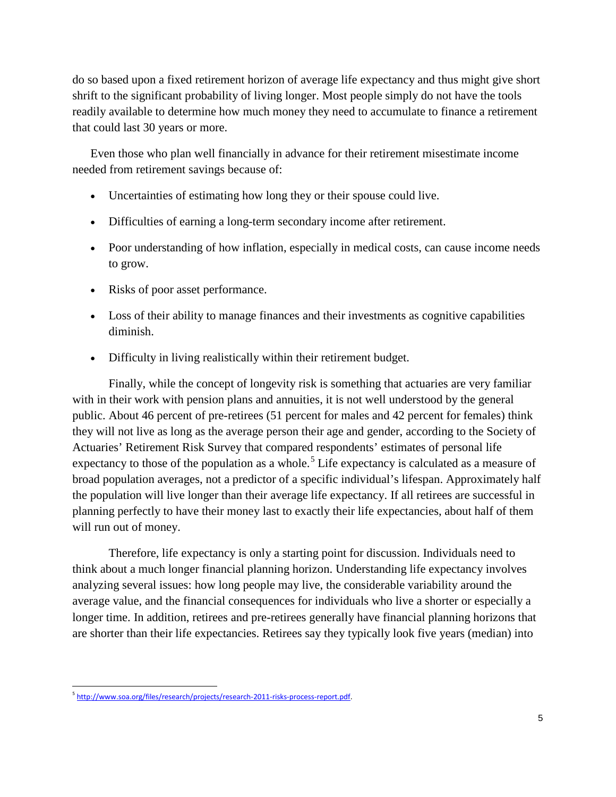do so based upon a fixed retirement horizon of average life expectancy and thus might give short shrift to the significant probability of living longer. Most people simply do not have the tools readily available to determine how much money they need to accumulate to finance a retirement that could last 30 years or more.

Even those who plan well financially in advance for their retirement misestimate income needed from retirement savings because of:

- Uncertainties of estimating how long they or their spouse could live.
- Difficulties of earning a long-term secondary income after retirement.
- Poor understanding of how inflation, especially in medical costs, can cause income needs to grow.
- Risks of poor asset performance.
- Loss of their ability to manage finances and their investments as cognitive capabilities diminish.
- Difficulty in living realistically within their retirement budget.

Finally, while the concept of longevity risk is something that actuaries are very familiar with in their work with pension plans and annuities, it is not well understood by the general public. About 46 percent of pre-retirees (51 percent for males and 42 percent for females) think they will not live as long as the average person their age and gender, according to the Society of Actuaries' Retirement Risk Survey that compared respondents' estimates of personal life expectancy to those of the population as a whole.<sup>[5](#page-4-0)</sup> Life expectancy is calculated as a measure of broad population averages, not a predictor of a specific individual's lifespan. Approximately half the population will live longer than their average life expectancy. If all retirees are successful in planning perfectly to have their money last to exactly their life expectancies, about half of them will run out of money.

Therefore, life expectancy is only a starting point for discussion. Individuals need to think about a much longer financial planning horizon. Understanding life expectancy involves analyzing several issues: how long people may live, the considerable variability around the average value, and the financial consequences for individuals who live a shorter or especially a longer time. In addition, retirees and pre-retirees generally have financial planning horizons that are shorter than their life expectancies. Retirees say they typically look five years (median) into

<span id="page-4-0"></span> <sup>5</sup> [http://www.soa.org/files/research/projects/research-2011-risks-process-report.pdf.](http://www.soa.org/files/research/projects/research-2011-risks-process-report.pdf)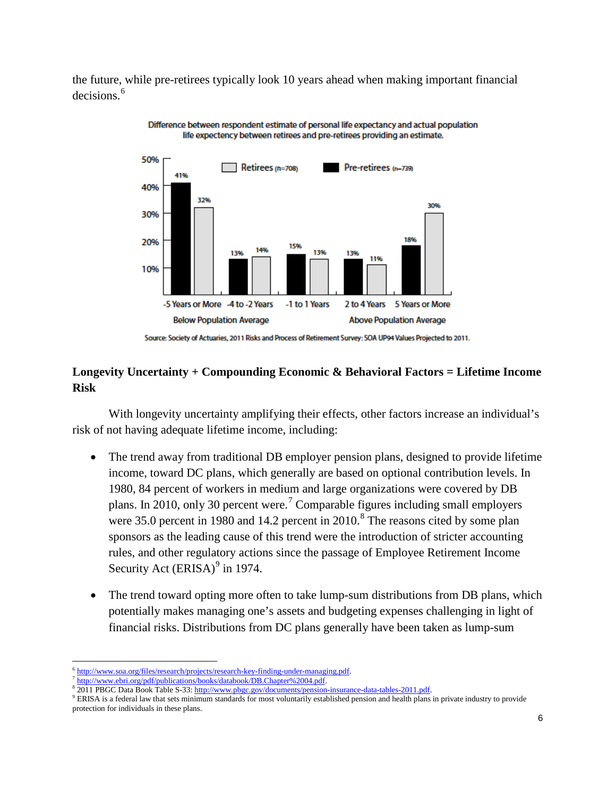the future, while pre-retirees typically look 10 years ahead when making important financial decisions.<sup>[6](#page-5-0)</sup>



Difference between respondent estimate of personal life expectancy and actual population life expectency between retirees and pre-retirees providing an estimate.

# **Longevity Uncertainty + Compounding Economic & Behavioral Factors = Lifetime Income Risk**

With longevity uncertainty amplifying their effects, other factors increase an individual's risk of not having adequate lifetime income, including:

- The trend away from traditional DB employer pension plans, designed to provide lifetime income, toward DC plans, which generally are based on optional contribution levels. In 1980, 84 percent of workers in medium and large organizations were covered by DB plans. In 2010, only 30 percent were.[7](#page-5-1) Comparable figures including small employers were 35.0 percent in 19[8](#page-5-2)0 and 14.2 percent in  $2010$ .<sup>8</sup> The reasons cited by some plan sponsors as the leading cause of this trend were the introduction of stricter accounting rules, and other regulatory actions since the passage of Employee Retirement Income Security Act  $(ERISA)^9$  $(ERISA)^9$  in 1974.
- The trend toward opting more often to take lump-sum distributions from DB plans, which potentially makes managing one's assets and budgeting expenses challenging in light of financial risks. Distributions from DC plans generally have been taken as lump-sum

<span id="page-5-3"></span><span id="page-5-2"></span><sup>9</sup> ERISA is a federal law that sets minimum standards for most voluntarily established pension and health plans in private industry to provide protection for individuals in these plans.

Source: Society of Actuaries, 2011 Risks and Process of Retirement Survey: SOA UP94 Values Projected to 2011.

 $\overline{\phantom{a}}$ [http://www.soa.org/files/research/projects/research-key-finding-under-managing.pdf.](http://www.soa.org/files/research/projects/research-key-finding-under-managing.pdf)<br>http://www.ebri.org/pdf/publications/books/databook/DB.Chapter%2004.pdf.

<span id="page-5-1"></span><span id="page-5-0"></span>

<sup>&</sup>lt;sup>8</sup> 2011 PBGC Data Book Table S-33[: http://www.pbgc.gov/documents/pension-insurance-data-tables-2011.pdf.](http://www.pbgc.gov/documents/pension-insurance-data-tables-2011.pdf)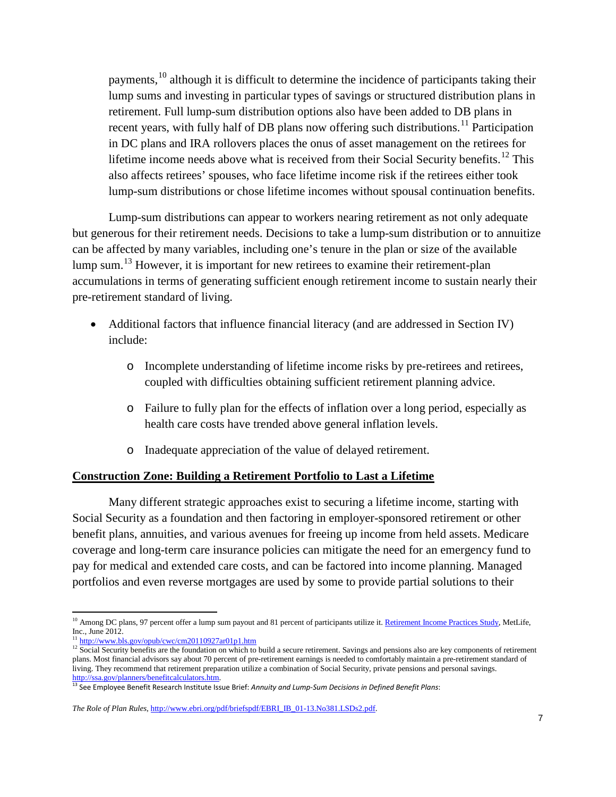payments,[10](#page-6-0) although it is difficult to determine the incidence of participants taking their lump sums and investing in particular types of savings or structured distribution plans in retirement. Full lump-sum distribution options also have been added to DB plans in recent years, with fully half of DB plans now offering such distributions.<sup>[11](#page-6-1)</sup> Participation in DC plans and IRA rollovers places the onus of asset management on the retirees for lifetime income needs above what is received from their Social Security benefits.<sup>[12](#page-6-2)</sup> This also affects retirees' spouses, who face lifetime income risk if the retirees either took lump-sum distributions or chose lifetime incomes without spousal continuation benefits.

Lump-sum distributions can appear to workers nearing retirement as not only adequate but generous for their retirement needs. Decisions to take a lump-sum distribution or to annuitize can be affected by many variables, including one's tenure in the plan or size of the available lump sum.<sup>[13](#page-6-3)</sup> However, it is important for new retirees to examine their retirement-plan accumulations in terms of generating sufficient enough retirement income to sustain nearly their pre-retirement standard of living.

- Additional factors that influence financial literacy (and are addressed in Section IV) include:
	- o Incomplete understanding of lifetime income risks by pre-retirees and retirees, coupled with difficulties obtaining sufficient retirement planning advice.
	- o Failure to fully plan for the effects of inflation over a long period, especially as health care costs have trended above general inflation levels.
	- o Inadequate appreciation of the value of delayed retirement.

### **Construction Zone: Building a Retirement Portfolio to Last a Lifetime**

Many different strategic approaches exist to securing a lifetime income, starting with Social Security as a foundation and then factoring in employer-sponsored retirement or other benefit plans, annuities, and various avenues for freeing up income from held assets. Medicare coverage and long-term care insurance policies can mitigate the need for an emergency fund to pay for medical and extended care costs, and can be factored into income planning. Managed portfolios and even reverse mortgages are used by some to provide partial solutions to their

<span id="page-6-0"></span> $\overline{\phantom{a}}$ <sup>10</sup> Among DC plans, 97 percent offer a lump sum payout and 81 percent of participants utilize it[. Retirement Income Practices Study,](https://www.metlife.com/business/retirement-and-benefits/income-practices.html?WT.mc_id=vu1560) MetLife, Inc., June 2012.<br> $\frac{11 \text{ http://www.bls.gov/opub/cwc/cm20110927ar01p1.htm}}{11 \text{ http://www.bls.gov/opub/cwc/cm20110927ar01p1.htm}}$ 

<span id="page-6-2"></span><span id="page-6-1"></span><sup>&</sup>lt;sup>12</sup> Social Security benefits are the foundation on which to build a secure retirement. Savings and pensions also are key components of retirement plans. Most financial advisors say about 70 percent of pre-retirement earnings is needed to comfortably maintain a pre-retirement standard of living. They recommend that retirement preparation utilize a combination of Social Security, private pensions and personal savings. [http://ssa.gov/planners/benefitcalculators.htm.](http://ssa.gov/planners/benefitcalculators.htm)<br><sup>13</sup> See Employee Benefit Research Institute Issue Brief: *Annuity and Lump-Sum Decisions in Defined Benefit Plans*:

<span id="page-6-3"></span>

*The Role of Plan Rules*, [http://www.ebri.org/pdf/briefspdf/EBRI\\_IB\\_01-13.No381.LSDs2.pdf.](http://www.ebri.org/pdf/briefspdf/EBRI_IB_01-13.No381.LSDs2.pdf)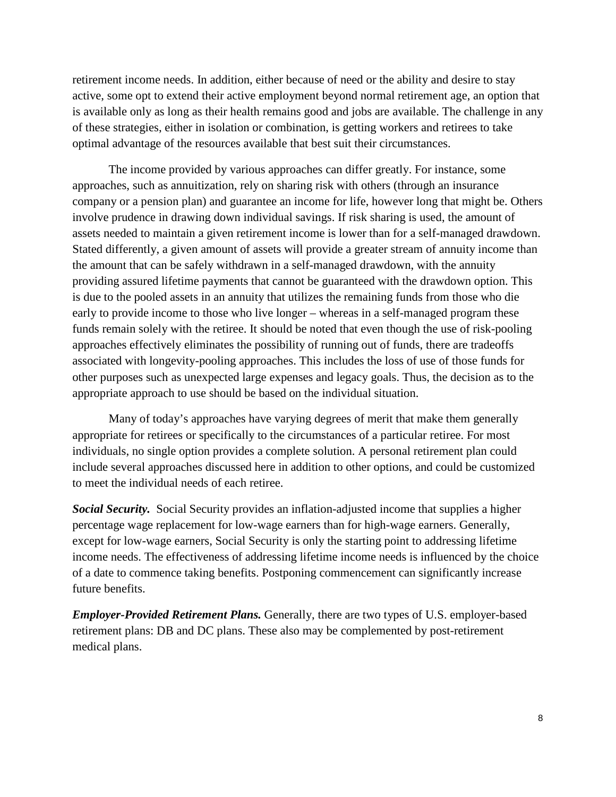retirement income needs. In addition, either because of need or the ability and desire to stay active, some opt to extend their active employment beyond normal retirement age, an option that is available only as long as their health remains good and jobs are available. The challenge in any of these strategies, either in isolation or combination, is getting workers and retirees to take optimal advantage of the resources available that best suit their circumstances.

The income provided by various approaches can differ greatly. For instance, some approaches, such as annuitization, rely on sharing risk with others (through an insurance company or a pension plan) and guarantee an income for life, however long that might be. Others involve prudence in drawing down individual savings. If risk sharing is used, the amount of assets needed to maintain a given retirement income is lower than for a self-managed drawdown. Stated differently, a given amount of assets will provide a greater stream of annuity income than the amount that can be safely withdrawn in a self-managed drawdown, with the annuity providing assured lifetime payments that cannot be guaranteed with the drawdown option. This is due to the pooled assets in an annuity that utilizes the remaining funds from those who die early to provide income to those who live longer – whereas in a self-managed program these funds remain solely with the retiree. It should be noted that even though the use of risk-pooling approaches effectively eliminates the possibility of running out of funds, there are tradeoffs associated with longevity-pooling approaches. This includes the loss of use of those funds for other purposes such as unexpected large expenses and legacy goals. Thus, the decision as to the appropriate approach to use should be based on the individual situation.

Many of today's approaches have varying degrees of merit that make them generally appropriate for retirees or specifically to the circumstances of a particular retiree. For most individuals, no single option provides a complete solution. A personal retirement plan could include several approaches discussed here in addition to other options, and could be customized to meet the individual needs of each retiree.

*Social Security.* Social Security provides an inflation-adjusted income that supplies a higher percentage wage replacement for low-wage earners than for high-wage earners. Generally, except for low-wage earners, Social Security is only the starting point to addressing lifetime income needs. The effectiveness of addressing lifetime income needs is influenced by the choice of a date to commence taking benefits. Postponing commencement can significantly increase future benefits.

*Employer-Provided Retirement Plans.* Generally, there are two types of U.S. employer-based retirement plans: DB and DC plans. These also may be complemented by post-retirement medical plans.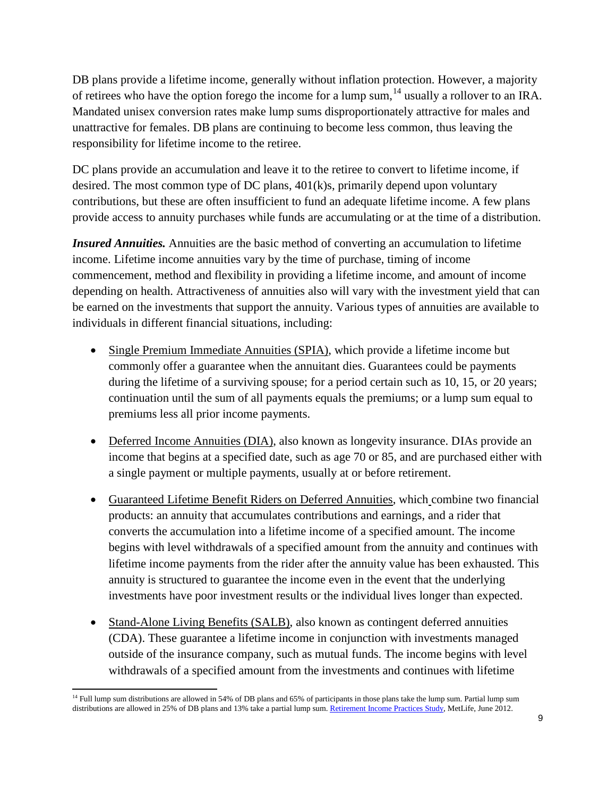DB plans provide a lifetime income, generally without inflation protection. However, a majority of retirees who have the option forego the income for a lump sum,  $^{14}$  $^{14}$  $^{14}$  usually a rollover to an IRA. Mandated unisex conversion rates make lump sums disproportionately attractive for males and unattractive for females. DB plans are continuing to become less common, thus leaving the responsibility for lifetime income to the retiree.

DC plans provide an accumulation and leave it to the retiree to convert to lifetime income, if desired. The most common type of DC plans, 401(k)s, primarily depend upon voluntary contributions, but these are often insufficient to fund an adequate lifetime income. A few plans provide access to annuity purchases while funds are accumulating or at the time of a distribution.

*Insured Annuities.* Annuities are the basic method of converting an accumulation to lifetime income. Lifetime income annuities vary by the time of purchase, timing of income commencement, method and flexibility in providing a lifetime income, and amount of income depending on health. Attractiveness of annuities also will vary with the investment yield that can be earned on the investments that support the annuity. Various types of annuities are available to individuals in different financial situations, including:

- Single Premium Immediate Annuities (SPIA), which provide a lifetime income but commonly offer a guarantee when the annuitant dies. Guarantees could be payments during the lifetime of a surviving spouse; for a period certain such as 10, 15, or 20 years; continuation until the sum of all payments equals the premiums; or a lump sum equal to premiums less all prior income payments.
- Deferred Income Annuities (DIA), also known as longevity insurance. DIAs provide an income that begins at a specified date, such as age 70 or 85, and are purchased either with a single payment or multiple payments, usually at or before retirement.
- Guaranteed Lifetime Benefit Riders on Deferred Annuities, which combine two financial products: an annuity that accumulates contributions and earnings, and a rider that converts the accumulation into a lifetime income of a specified amount. The income begins with level withdrawals of a specified amount from the annuity and continues with lifetime income payments from the rider after the annuity value has been exhausted. This annuity is structured to guarantee the income even in the event that the underlying investments have poor investment results or the individual lives longer than expected.
- Stand-Alone Living Benefits (SALB), also known as contingent deferred annuities (CDA). These guarantee a lifetime income in conjunction with investments managed outside of the insurance company, such as mutual funds. The income begins with level withdrawals of a specified amount from the investments and continues with lifetime

l

<span id="page-8-0"></span><sup>&</sup>lt;sup>14</sup> Full lump sum distributions are allowed in 54% of DB plans and 65% of participants in those plans take the lump sum. Partial lump sum distributions are allowed in 25% of DB plans and 13% take a partial lump sum[. Retirement Income Practices Study,](https://www.metlife.com/business/retirement-and-benefits/income-practices.html?WT.mc_id=vu1560) MetLife, June 2012.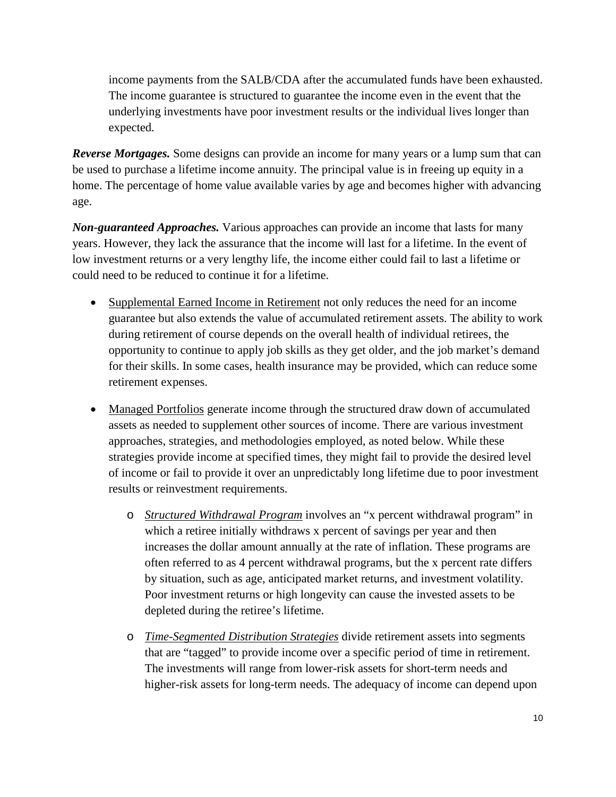income payments from the SALB/CDA after the accumulated funds have been exhausted. The income guarantee is structured to guarantee the income even in the event that the underlying investments have poor investment results or the individual lives longer than expected.

*Reverse Mortgages.* Some designs can provide an income for many years or a lump sum that can be used to purchase a lifetime income annuity. The principal value is in freeing up equity in a home. The percentage of home value available varies by age and becomes higher with advancing age.

*Non-guaranteed Approaches.* Various approaches can provide an income that lasts for many years. However, they lack the assurance that the income will last for a lifetime. In the event of low investment returns or a very lengthy life, the income either could fail to last a lifetime or could need to be reduced to continue it for a lifetime.

- Supplemental Earned Income in Retirement not only reduces the need for an income guarantee but also extends the value of accumulated retirement assets. The ability to work during retirement of course depends on the overall health of individual retirees, the opportunity to continue to apply job skills as they get older, and the job market's demand for their skills. In some cases, health insurance may be provided, which can reduce some retirement expenses.
- Managed Portfolios generate income through the structured draw down of accumulated assets as needed to supplement other sources of income. There are various investment approaches, strategies, and methodologies employed, as noted below. While these strategies provide income at specified times, they might fail to provide the desired level of income or fail to provide it over an unpredictably long lifetime due to poor investment results or reinvestment requirements.
	- o *Structured Withdrawal Program* involves an "x percent withdrawal program" in which a retiree initially withdraws x percent of savings per year and then increases the dollar amount annually at the rate of inflation. These programs are often referred to as 4 percent withdrawal programs, but the x percent rate differs by situation, such as age, anticipated market returns, and investment volatility. Poor investment returns or high longevity can cause the invested assets to be depleted during the retiree's lifetime.
	- o *Time-Segmented Distribution Strategies* divide retirement assets into segments that are "tagged" to provide income over a specific period of time in retirement. The investments will range from lower-risk assets for short-term needs and higher-risk assets for long-term needs. The adequacy of income can depend upon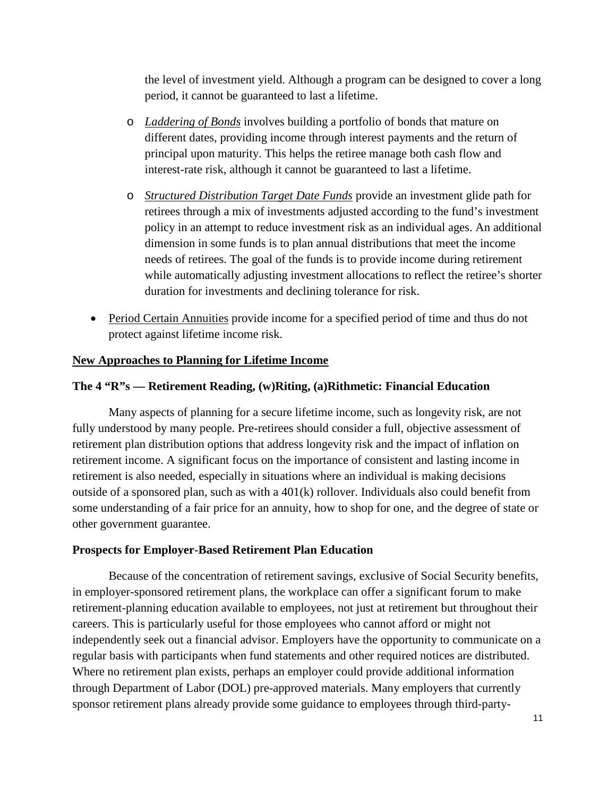the level of investment yield. Although a program can be designed to cover a long period, it cannot be guaranteed to last a lifetime.

- o *Laddering of Bonds* involves building a portfolio of bonds that mature on different dates, providing income through interest payments and the return of principal upon maturity. This helps the retiree manage both cash flow and interest-rate risk, although it cannot be guaranteed to last a lifetime.
- o *Structured Distribution Target Date Funds* provide an investment glide path for retirees through a mix of investments adjusted according to the fund's investment policy in an attempt to reduce investment risk as an individual ages. An additional dimension in some funds is to plan annual distributions that meet the income needs of retirees. The goal of the funds is to provide income during retirement while automatically adjusting investment allocations to reflect the retiree's shorter duration for investments and declining tolerance for risk.
- Period Certain Annuities provide income for a specified period of time and thus do not protect against lifetime income risk.

### **New Approaches to Planning for Lifetime Income**

### **The 4 "R"s — Retirement Reading, (w)Riting, (a)Rithmetic: Financial Education**

Many aspects of planning for a secure lifetime income, such as longevity risk, are not fully understood by many people. Pre-retirees should consider a full, objective assessment of retirement plan distribution options that address longevity risk and the impact of inflation on retirement income. A significant focus on the importance of consistent and lasting income in retirement is also needed, especially in situations where an individual is making decisions outside of a sponsored plan, such as with a 401(k) rollover. Individuals also could benefit from some understanding of a fair price for an annuity, how to shop for one, and the degree of state or other government guarantee.

### **Prospects for Employer-Based Retirement Plan Education**

Because of the concentration of retirement savings, exclusive of Social Security benefits, in employer-sponsored retirement plans, the workplace can offer a significant forum to make retirement-planning education available to employees, not just at retirement but throughout their careers. This is particularly useful for those employees who cannot afford or might not independently seek out a financial advisor. Employers have the opportunity to communicate on a regular basis with participants when fund statements and other required notices are distributed. Where no retirement plan exists, perhaps an employer could provide additional information through Department of Labor (DOL) pre-approved materials. Many employers that currently sponsor retirement plans already provide some guidance to employees through third-party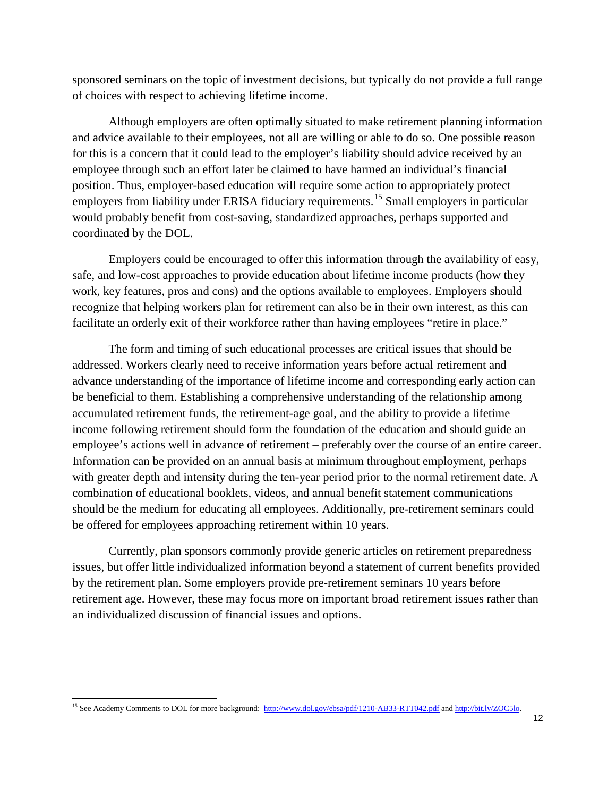sponsored seminars on the topic of investment decisions, but typically do not provide a full range of choices with respect to achieving lifetime income.

Although employers are often optimally situated to make retirement planning information and advice available to their employees, not all are willing or able to do so. One possible reason for this is a concern that it could lead to the employer's liability should advice received by an employee through such an effort later be claimed to have harmed an individual's financial position. Thus, employer-based education will require some action to appropriately protect employers from liability under ERISA fiduciary requirements.<sup>[15](#page-11-0)</sup> Small employers in particular would probably benefit from cost-saving, standardized approaches, perhaps supported and coordinated by the DOL.

Employers could be encouraged to offer this information through the availability of easy, safe, and low-cost approaches to provide education about lifetime income products (how they work, key features, pros and cons) and the options available to employees. Employers should recognize that helping workers plan for retirement can also be in their own interest, as this can facilitate an orderly exit of their workforce rather than having employees "retire in place."

The form and timing of such educational processes are critical issues that should be addressed. Workers clearly need to receive information years before actual retirement and advance understanding of the importance of lifetime income and corresponding early action can be beneficial to them. Establishing a comprehensive understanding of the relationship among accumulated retirement funds, the retirement-age goal, and the ability to provide a lifetime income following retirement should form the foundation of the education and should guide an employee's actions well in advance of retirement – preferably over the course of an entire career. Information can be provided on an annual basis at minimum throughout employment, perhaps with greater depth and intensity during the ten-year period prior to the normal retirement date. A combination of educational booklets, videos, and annual benefit statement communications should be the medium for educating all employees. Additionally, pre-retirement seminars could be offered for employees approaching retirement within 10 years.

Currently, plan sponsors commonly provide generic articles on retirement preparedness issues, but offer little individualized information beyond a statement of current benefits provided by the retirement plan. Some employers provide pre-retirement seminars 10 years before retirement age. However, these may focus more on important broad retirement issues rather than an individualized discussion of financial issues and options.

l

<span id="page-11-0"></span><sup>&</sup>lt;sup>15</sup> See Academy Comments to DOL for more background:<http://www.dol.gov/ebsa/pdf/1210-AB33-RTT042.pdf> an[d http://bit.ly/ZOC5lo.](http://bit.ly/ZOC5lo)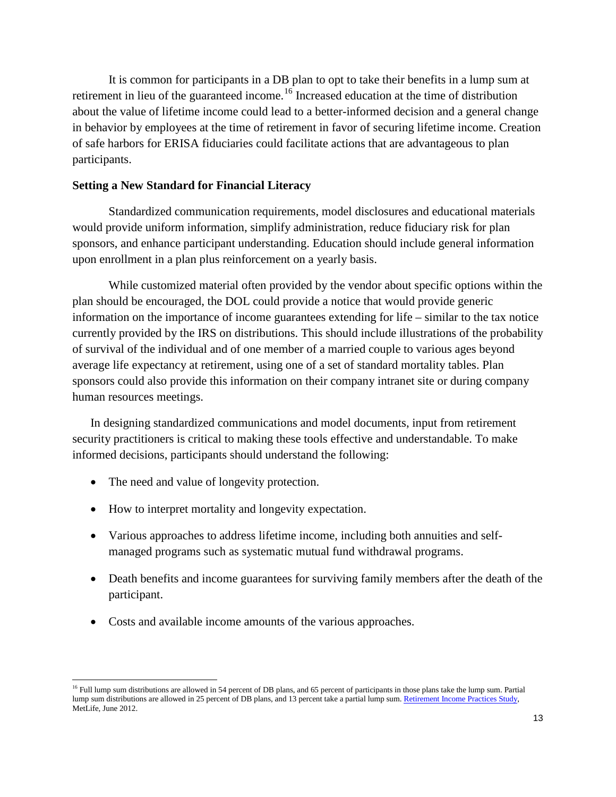It is common for participants in a DB plan to opt to take their benefits in a lump sum at retirement in lieu of the guaranteed income.<sup>[16](#page-12-0)</sup> Increased education at the time of distribution about the value of lifetime income could lead to a better-informed decision and a general change in behavior by employees at the time of retirement in favor of securing lifetime income. Creation of safe harbors for ERISA fiduciaries could facilitate actions that are advantageous to plan participants.

#### **Setting a New Standard for Financial Literacy**

Standardized communication requirements, model disclosures and educational materials would provide uniform information, simplify administration, reduce fiduciary risk for plan sponsors, and enhance participant understanding. Education should include general information upon enrollment in a plan plus reinforcement on a yearly basis.

While customized material often provided by the vendor about specific options within the plan should be encouraged, the DOL could provide a notice that would provide generic information on the importance of income guarantees extending for life – similar to the tax notice currently provided by the IRS on distributions. This should include illustrations of the probability of survival of the individual and of one member of a married couple to various ages beyond average life expectancy at retirement, using one of a set of standard mortality tables. Plan sponsors could also provide this information on their company intranet site or during company human resources meetings.

In designing standardized communications and model documents, input from retirement security practitioners is critical to making these tools effective and understandable. To make informed decisions, participants should understand the following:

• The need and value of longevity protection.

l

- How to interpret mortality and longevity expectation.
- Various approaches to address lifetime income, including both annuities and selfmanaged programs such as systematic mutual fund withdrawal programs.
- Death benefits and income guarantees for surviving family members after the death of the participant.
- Costs and available income amounts of the various approaches.

<span id="page-12-0"></span><sup>&</sup>lt;sup>16</sup> Full lump sum distributions are allowed in 54 percent of DB plans, and 65 percent of participants in those plans take the lump sum. Partial lump sum distributions are allowed in 25 percent of DB plans, and 13 percent take a partial lump sum[. Retirement Income Practices Study,](https://www.metlife.com/business/retirement-and-benefits/income-practices.html?WT.mc_id=vu1560)  MetLife, June 2012.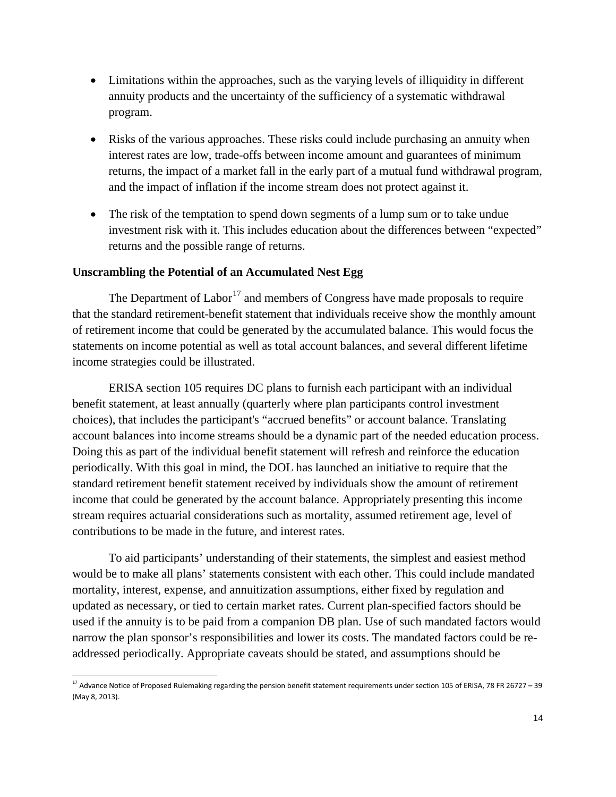- Limitations within the approaches, such as the varying levels of illiquidity in different annuity products and the uncertainty of the sufficiency of a systematic withdrawal program.
- Risks of the various approaches. These risks could include purchasing an annuity when interest rates are low, trade-offs between income amount and guarantees of minimum returns, the impact of a market fall in the early part of a mutual fund withdrawal program, and the impact of inflation if the income stream does not protect against it.
- The risk of the temptation to spend down segments of a lump sum or to take undue investment risk with it. This includes education about the differences between "expected" returns and the possible range of returns.

### **Unscrambling the Potential of an Accumulated Nest Egg**

The Department of Labor<sup>[17](#page-13-0)</sup> and members of Congress have made proposals to require that the standard retirement-benefit statement that individuals receive show the monthly amount of retirement income that could be generated by the accumulated balance. This would focus the statements on income potential as well as total account balances, and several different lifetime income strategies could be illustrated.

ERISA section 105 requires DC plans to furnish each participant with an individual benefit statement, at least annually (quarterly where plan participants control investment choices), that includes the participant's "accrued benefits" or account balance. Translating account balances into income streams should be a dynamic part of the needed education process. Doing this as part of the individual benefit statement will refresh and reinforce the education periodically. With this goal in mind, the DOL has launched an initiative to require that the standard retirement benefit statement received by individuals show the amount of retirement income that could be generated by the account balance. Appropriately presenting this income stream requires actuarial considerations such as mortality, assumed retirement age, level of contributions to be made in the future, and interest rates.

To aid participants' understanding of their statements, the simplest and easiest method would be to make all plans' statements consistent with each other. This could include mandated mortality, interest, expense, and annuitization assumptions, either fixed by regulation and updated as necessary, or tied to certain market rates. Current plan-specified factors should be used if the annuity is to be paid from a companion DB plan. Use of such mandated factors would narrow the plan sponsor's responsibilities and lower its costs. The mandated factors could be readdressed periodically. Appropriate caveats should be stated, and assumptions should be

<span id="page-13-0"></span><sup>&</sup>lt;sup>17</sup> Advance Notice of Proposed Rulemaking regarding the pension benefit statement requirements under section 105 of ERISA, 78 FR 26727 - 39 (May 8, 2013).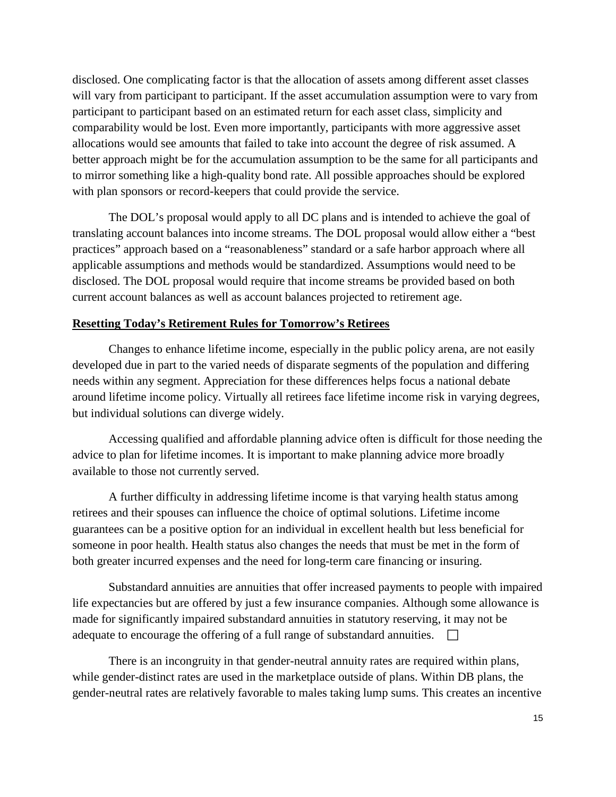disclosed. One complicating factor is that the allocation of assets among different asset classes will vary from participant to participant. If the asset accumulation assumption were to vary from participant to participant based on an estimated return for each asset class, simplicity and comparability would be lost. Even more importantly, participants with more aggressive asset allocations would see amounts that failed to take into account the degree of risk assumed. A better approach might be for the accumulation assumption to be the same for all participants and to mirror something like a high-quality bond rate. All possible approaches should be explored with plan sponsors or record-keepers that could provide the service.

The DOL's proposal would apply to all DC plans and is intended to achieve the goal of translating account balances into income streams. The DOL proposal would allow either a "best practices" approach based on a "reasonableness" standard or a safe harbor approach where all applicable assumptions and methods would be standardized. Assumptions would need to be disclosed. The DOL proposal would require that income streams be provided based on both current account balances as well as account balances projected to retirement age.

#### **Resetting Today's Retirement Rules for Tomorrow's Retirees**

Changes to enhance lifetime income, especially in the public policy arena, are not easily developed due in part to the varied needs of disparate segments of the population and differing needs within any segment. Appreciation for these differences helps focus a national debate around lifetime income policy. Virtually all retirees face lifetime income risk in varying degrees, but individual solutions can diverge widely.

Accessing qualified and affordable planning advice often is difficult for those needing the advice to plan for lifetime incomes. It is important to make planning advice more broadly available to those not currently served.

A further difficulty in addressing lifetime income is that varying health status among retirees and their spouses can influence the choice of optimal solutions. Lifetime income guarantees can be a positive option for an individual in excellent health but less beneficial for someone in poor health. Health status also changes the needs that must be met in the form of both greater incurred expenses and the need for long-term care financing or insuring.

Substandard annuities are annuities that offer increased payments to people with impaired life expectancies but are offered by just a few insurance companies. Although some allowance is made for significantly impaired substandard annuities in statutory reserving, it may not be adequate to encourage the offering of a full range of substandard annuities.  $\Box$ 

There is an incongruity in that gender-neutral annuity rates are required within plans, while gender-distinct rates are used in the marketplace outside of plans. Within DB plans, the gender-neutral rates are relatively favorable to males taking lump sums. This creates an incentive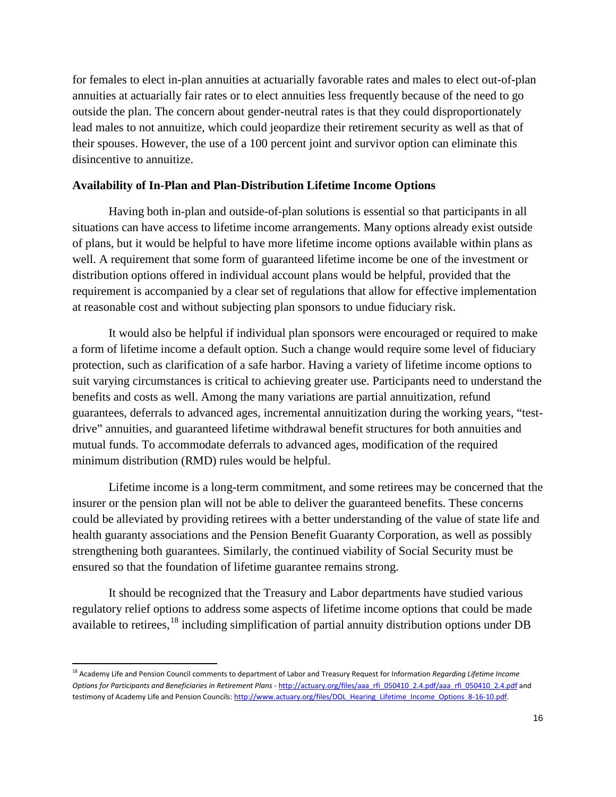for females to elect in-plan annuities at actuarially favorable rates and males to elect out-of-plan annuities at actuarially fair rates or to elect annuities less frequently because of the need to go outside the plan. The concern about gender-neutral rates is that they could disproportionately lead males to not annuitize, which could jeopardize their retirement security as well as that of their spouses. However, the use of a 100 percent joint and survivor option can eliminate this disincentive to annuitize.

### **Availability of In-Plan and Plan-Distribution Lifetime Income Options**

Having both in-plan and outside-of-plan solutions is essential so that participants in all situations can have access to lifetime income arrangements. Many options already exist outside of plans, but it would be helpful to have more lifetime income options available within plans as well. A requirement that some form of guaranteed lifetime income be one of the investment or distribution options offered in individual account plans would be helpful, provided that the requirement is accompanied by a clear set of regulations that allow for effective implementation at reasonable cost and without subjecting plan sponsors to undue fiduciary risk.

It would also be helpful if individual plan sponsors were encouraged or required to make a form of lifetime income a default option. Such a change would require some level of fiduciary protection, such as clarification of a safe harbor. Having a variety of lifetime income options to suit varying circumstances is critical to achieving greater use. Participants need to understand the benefits and costs as well. Among the many variations are partial annuitization, refund guarantees, deferrals to advanced ages, incremental annuitization during the working years, "testdrive" annuities, and guaranteed lifetime withdrawal benefit structures for both annuities and mutual funds. To accommodate deferrals to advanced ages, modification of the required minimum distribution (RMD) rules would be helpful.

Lifetime income is a long-term commitment, and some retirees may be concerned that the insurer or the pension plan will not be able to deliver the guaranteed benefits. These concerns could be alleviated by providing retirees with a better understanding of the value of state life and health guaranty associations and the Pension Benefit Guaranty Corporation, as well as possibly strengthening both guarantees. Similarly, the continued viability of Social Security must be ensured so that the foundation of lifetime guarantee remains strong.

It should be recognized that the Treasury and Labor departments have studied various regulatory relief options to address some aspects of lifetime income options that could be made available to retirees, $^{18}$  $^{18}$  $^{18}$  including simplification of partial annuity distribution options under DB

<span id="page-15-0"></span><sup>&</sup>lt;sup>18</sup> Academy Life and Pension Council comments to department of Labor and Treasury Request for Information *Regarding Lifetime Income Options for Participants and Beneficiaries in Retirement Plans* - [http://actuary.org/files/aaa\\_rfi\\_050410\\_2.4.pdf/aaa\\_rfi\\_050410\\_2.4.pdf](http://actuary.org/files/aaa_rfi_050410_2.4.pdf/aaa_rfi_050410_2.4.pdf) and testimony of Academy Life and Pension Councils: [http://www.actuary.org/files/DOL\\_Hearing\\_Lifetime\\_Income\\_Options\\_8-16-10.pdf.](http://www.actuary.org/files/DOL_Hearing_Lifetime_Income_Options_8-16-10.pdf)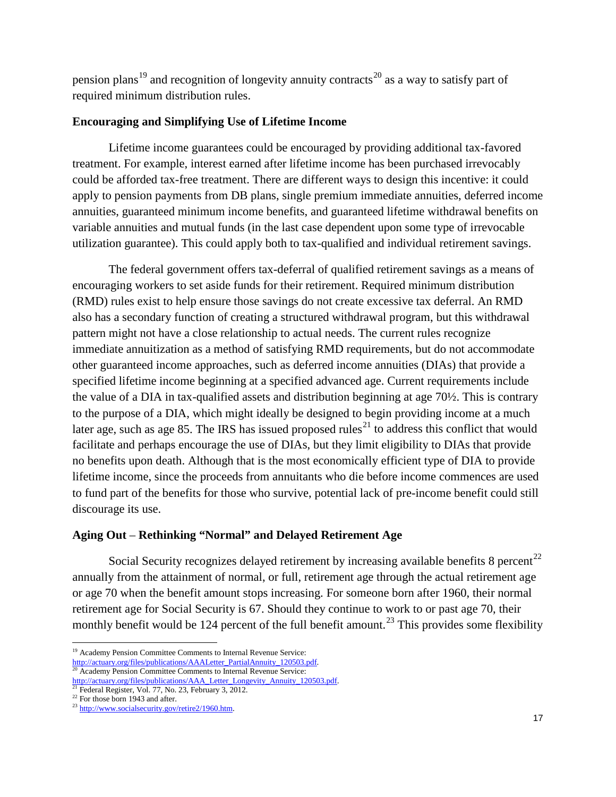pension plans<sup>[19](#page-16-0)</sup> and recognition of longevity annuity contracts<sup>[20](#page-16-1)</sup> as a way to satisfy part of required minimum distribution rules.

## **Encouraging and Simplifying Use of Lifetime Income**

Lifetime income guarantees could be encouraged by providing additional tax-favored treatment. For example, interest earned after lifetime income has been purchased irrevocably could be afforded tax-free treatment. There are different ways to design this incentive: it could apply to pension payments from DB plans, single premium immediate annuities, deferred income annuities, guaranteed minimum income benefits, and guaranteed lifetime withdrawal benefits on variable annuities and mutual funds (in the last case dependent upon some type of irrevocable utilization guarantee). This could apply both to tax-qualified and individual retirement savings.

The federal government offers tax-deferral of qualified retirement savings as a means of encouraging workers to set aside funds for their retirement. Required minimum distribution (RMD) rules exist to help ensure those savings do not create excessive tax deferral. An RMD also has a secondary function of creating a structured withdrawal program, but this withdrawal pattern might not have a close relationship to actual needs. The current rules recognize immediate annuitization as a method of satisfying RMD requirements, but do not accommodate other guaranteed income approaches, such as deferred income annuities (DIAs) that provide a specified lifetime income beginning at a specified advanced age. Current requirements include the value of a DIA in tax-qualified assets and distribution beginning at age 70½. This is contrary to the purpose of a DIA, which might ideally be designed to begin providing income at a much later age, such as age 85. The IRS has issued proposed rules<sup>[21](#page-16-2)</sup> to address this conflict that would facilitate and perhaps encourage the use of DIAs, but they limit eligibility to DIAs that provide no benefits upon death. Although that is the most economically efficient type of DIA to provide lifetime income, since the proceeds from annuitants who die before income commences are used to fund part of the benefits for those who survive, potential lack of pre-income benefit could still discourage its use.

## **Aging Out** – **Rethinking "Normal" and Delayed Retirement Age**

Social Security recognizes delayed retirement by increasing available benefits 8 percent<sup>[22](#page-16-3)</sup> annually from the attainment of normal, or full, retirement age through the actual retirement age or age 70 when the benefit amount stops increasing. For someone born after 1960, their normal retirement age for Social Security is 67. Should they continue to work to or past age 70, their monthly benefit would be 124 percent of the full benefit amount.<sup>[23](#page-16-4)</sup> This provides some flexibility

 $\overline{\phantom{a}}$ 

<span id="page-16-0"></span><sup>&</sup>lt;sup>19</sup> Academy Pension Committee Comments to Internal Revenue Service:<br>http://actuary.org/files/publications/AAALetter\_PartialAnnuity\_120503.pdf.

<span id="page-16-1"></span><sup>&</sup>lt;sup>20</sup> Academy Pension Committee Comments to Internal Revenue Service:<br>http://actuary.org/files/publications/AAA\_Letter\_Longevity\_Annuity\_120503.pdf.

<span id="page-16-2"></span><sup>&</sup>lt;sup>21</sup> Federal Register, Vol. 77, No. 23, February 3, 2012.<br><sup>22</sup> For those born 1943 and after.

<span id="page-16-4"></span><span id="page-16-3"></span> $^{23}$  [http://www.socialsecurity.gov/retire2/1960.htm.](http://www.socialsecurity.gov/retire2/1960.htm)